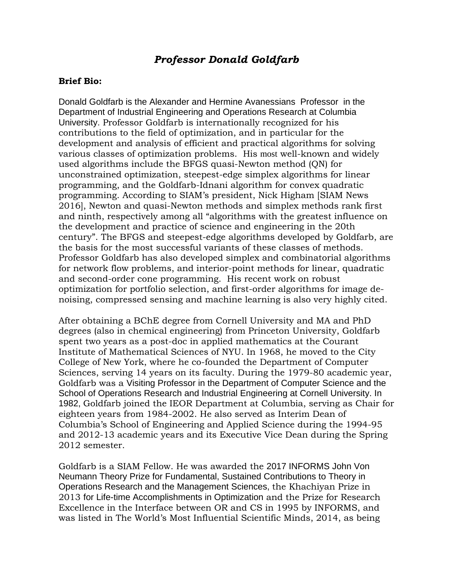## *Professor Donald Goldfarb*

## **Brief Bio:**

Donald Goldfarb is the Alexander and Hermine Avanessians Professor in the Department of Industrial Engineering and Operations Research at Columbia University. Professor Goldfarb is internationally recognized for his contributions to the field of optimization, and in particular for the development and analysis of efficient and practical algorithms for solving various classes of optimization problems. His most well-known and widely used algorithms include the BFGS quasi-Newton method (QN) for unconstrained optimization, steepest-edge simplex algorithms for linear programming, and the Goldfarb-Idnani algorithm for convex quadratic programming. According to SIAM's president, Nick Higham [SIAM News 2016], Newton and quasi-Newton methods and simplex methods rank first and ninth, respectively among all "algorithms with the greatest influence on the development and practice of science and engineering in the 20th century". The BFGS and steepest-edge algorithms developed by Goldfarb, are the basis for the most successful variants of these classes of methods. Professor Goldfarb has also developed simplex and combinatorial algorithms for network flow problems, and interior-point methods for linear, quadratic and second-order cone programming. His recent work on robust optimization for portfolio selection, and first-order algorithms for image denoising, compressed sensing and machine learning is also very highly cited.

After obtaining a BChE degree from Cornell University and MA and PhD degrees (also in chemical engineering) from Princeton University, Goldfarb spent two years as a post-doc in applied mathematics at the Courant Institute of Mathematical Sciences of NYU. In 1968, he moved to the City College of New York, where he co-founded the Department of Computer Sciences, serving 14 years on its faculty. During the 1979-80 academic year, Goldfarb was a Visiting Professor in the Department of Computer Science and the School of Operations Research and Industrial Engineering at Cornell University. In 1982, Goldfarb joined the IEOR Department at Columbia, serving as Chair for eighteen years from 1984-2002. He also served as Interim Dean of Columbia's School of Engineering and Applied Science during the 1994-95 and 2012-13 academic years and its Executive Vice Dean during the Spring 2012 semester.

Goldfarb is a SIAM Fellow. He was awarded the 2017 INFORMS John Von Neumann Theory Prize for Fundamental, Sustained Contributions to Theory in Operations Research and the Management Sciences, the Khachiyan Prize in 2013 for Life-time Accomplishments in Optimization and the Prize for Research Excellence in the Interface between OR and CS in 1995 by INFORMS, and was listed in The World's Most Influential Scientific Minds, 2014, as being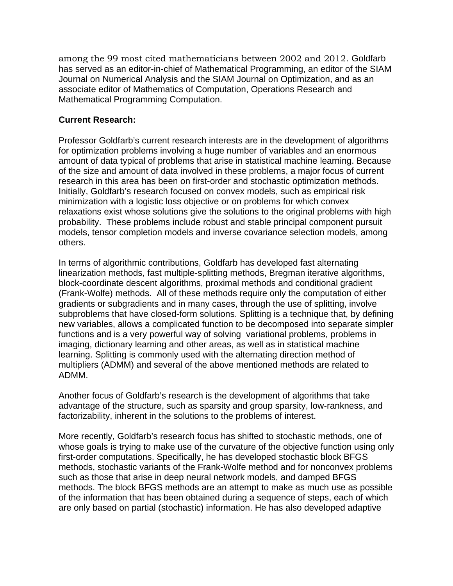among the 99 most cited mathematicians between 2002 and 2012. Goldfarb has served as an editor-in-chief of Mathematical Programming, an editor of the SIAM Journal on Numerical Analysis and the SIAM Journal on Optimization, and as an associate editor of Mathematics of Computation, Operations Research and Mathematical Programming Computation.

## **Current Research:**

Professor Goldfarb's current research interests are in the development of algorithms for optimization problems involving a huge number of variables and an enormous amount of data typical of problems that arise in statistical machine learning. Because of the size and amount of data involved in these problems, a major focus of current research in this area has been on first-order and stochastic optimization methods. Initially, Goldfarb's research focused on convex models, such as empirical risk minimization with a logistic loss objective or on problems for which convex relaxations exist whose solutions give the solutions to the original problems with high probability. These problems include robust and stable principal component pursuit models, tensor completion models and inverse covariance selection models, among others.

In terms of algorithmic contributions, Goldfarb has developed fast alternating linearization methods, fast multiple-splitting methods, Bregman iterative algorithms, block-coordinate descent algorithms, proximal methods and conditional gradient (Frank-Wolfe) methods. All of these methods require only the computation of either gradients or subgradients and in many cases, through the use of splitting, involve subproblems that have closed-form solutions. Splitting is a technique that, by defining new variables, allows a complicated function to be decomposed into separate simpler functions and is a very powerful way of solving variational problems, problems in imaging, dictionary learning and other areas, as well as in statistical machine learning. Splitting is commonly used with the alternating direction method of multipliers (ADMM) and several of the above mentioned methods are related to ADMM.

Another focus of Goldfarb's research is the development of algorithms that take advantage of the structure, such as sparsity and group sparsity, low-rankness, and factorizability, inherent in the solutions to the problems of interest.

More recently, Goldfarb's research focus has shifted to stochastic methods, one of whose goals is trying to make use of the curvature of the objective function using only first-order computations. Specifically, he has developed stochastic block BFGS methods, stochastic variants of the Frank-Wolfe method and for nonconvex problems such as those that arise in deep neural network models, and damped BFGS methods. The block BFGS methods are an attempt to make as much use as possible of the information that has been obtained during a sequence of steps, each of which are only based on partial (stochastic) information. He has also developed adaptive